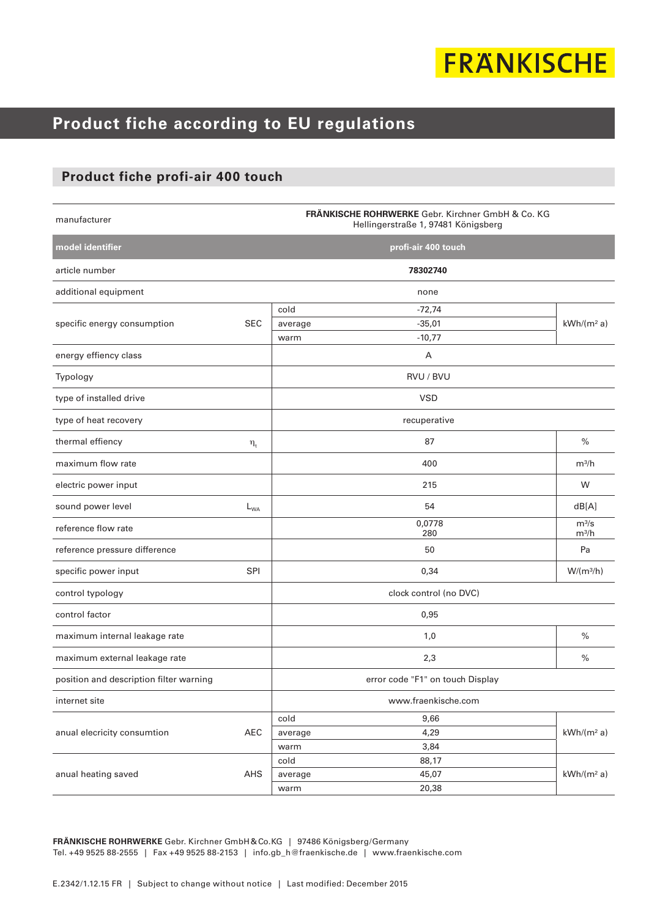# **FRANKISCHE**

### **Product fiche according to EU regulations**

#### **Product fiche profi-air 400 touch**

| manufacturer                            |            | FRÄNKISCHE ROHRWERKE Gebr. Kirchner GmbH & Co. KG<br>Hellingerstraße 1, 97481 Königsberg |                     |                    |  |  |  |
|-----------------------------------------|------------|------------------------------------------------------------------------------------------|---------------------|--------------------|--|--|--|
| model identifier                        |            |                                                                                          | profi-air 400 touch |                    |  |  |  |
| article number                          |            |                                                                                          | 78302740            |                    |  |  |  |
| additional equipment                    |            |                                                                                          | none                |                    |  |  |  |
| specific energy consumption             | <b>SEC</b> | cold                                                                                     | $-72,74$            |                    |  |  |  |
|                                         |            | average                                                                                  | $-35,01$            | $kWh/(m^2 a)$      |  |  |  |
|                                         |            | warm                                                                                     | $-10,77$            |                    |  |  |  |
| energy effiency class                   |            |                                                                                          | Α                   |                    |  |  |  |
| Typology                                |            |                                                                                          | RVU / BVU           |                    |  |  |  |
| type of installed drive                 |            |                                                                                          | <b>VSD</b>          |                    |  |  |  |
| type of heat recovery                   |            |                                                                                          | recuperative        |                    |  |  |  |
| thermal effiency                        | $\eta_t$   |                                                                                          | 87                  | $\frac{0}{0}$      |  |  |  |
| maximum flow rate                       |            |                                                                                          | 400                 | m <sup>3</sup> /h  |  |  |  |
| electric power input                    |            |                                                                                          | 215                 | W                  |  |  |  |
| sound power level                       | $L_{WA}$   |                                                                                          | 54                  | dB[A]              |  |  |  |
| reference flow rate                     |            |                                                                                          | 0,0778<br>280       | $m^3/s$<br>$m^3/h$ |  |  |  |
| reference pressure difference           |            |                                                                                          | 50                  | Pa                 |  |  |  |
| specific power input                    | <b>SPI</b> |                                                                                          | 0,34                | $W/(m^3/h)$        |  |  |  |
| control typology                        |            | clock control (no DVC)                                                                   |                     |                    |  |  |  |
| control factor                          |            |                                                                                          | 0,95                |                    |  |  |  |
| maximum internal leakage rate           |            |                                                                                          | 1,0                 | $\frac{0}{0}$      |  |  |  |
| maximum external leakage rate           |            |                                                                                          | 2,3                 | $\frac{0}{0}$      |  |  |  |
| position and description filter warning |            | error code "F1" on touch Display                                                         |                     |                    |  |  |  |
| internet site                           |            | www.fraenkische.com                                                                      |                     |                    |  |  |  |
| anual elecricity consumtion             | AEC        | cold                                                                                     | 9,66                |                    |  |  |  |
|                                         |            | average                                                                                  | 4,29                | $kWh/(m^2 a)$      |  |  |  |
|                                         |            | warm                                                                                     | 3,84                |                    |  |  |  |
| anual heating saved                     | AHS        | cold                                                                                     | 88,17               |                    |  |  |  |
|                                         |            | average<br>warm                                                                          | 45,07<br>20,38      | $kWh/(m^2 a)$      |  |  |  |
|                                         |            |                                                                                          |                     |                    |  |  |  |

**FRÄNKISCHE ROHRWERKE** Gebr. Kirchner GmbH&Co.KG | 97486 Königsberg/Germany Tel. +49 9525 88-2555 | Fax +49 9525 88-2153 | info.gb\_h@fraenkische.de | www.fraenkische.com